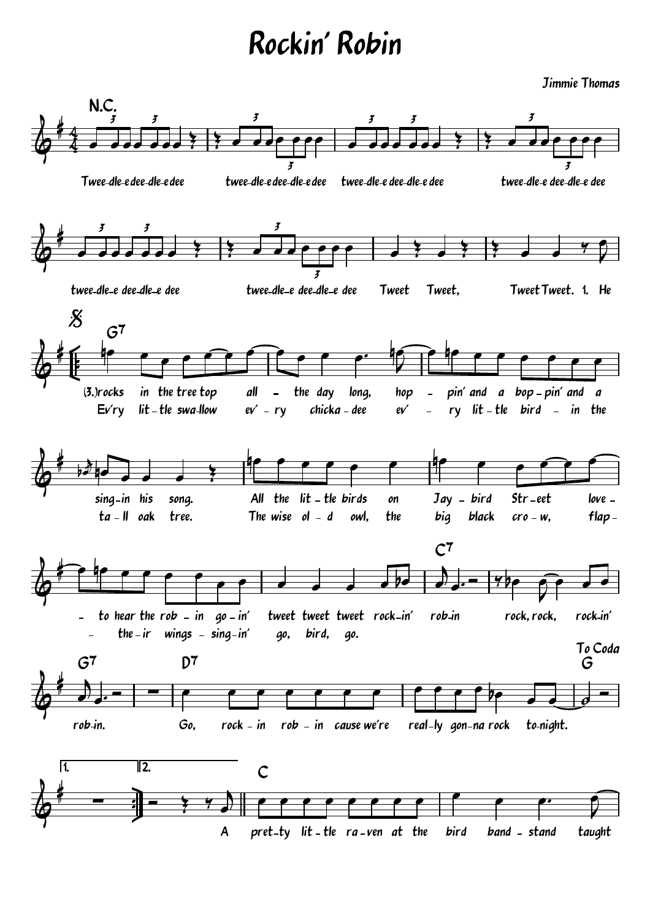Jimmie Thomas

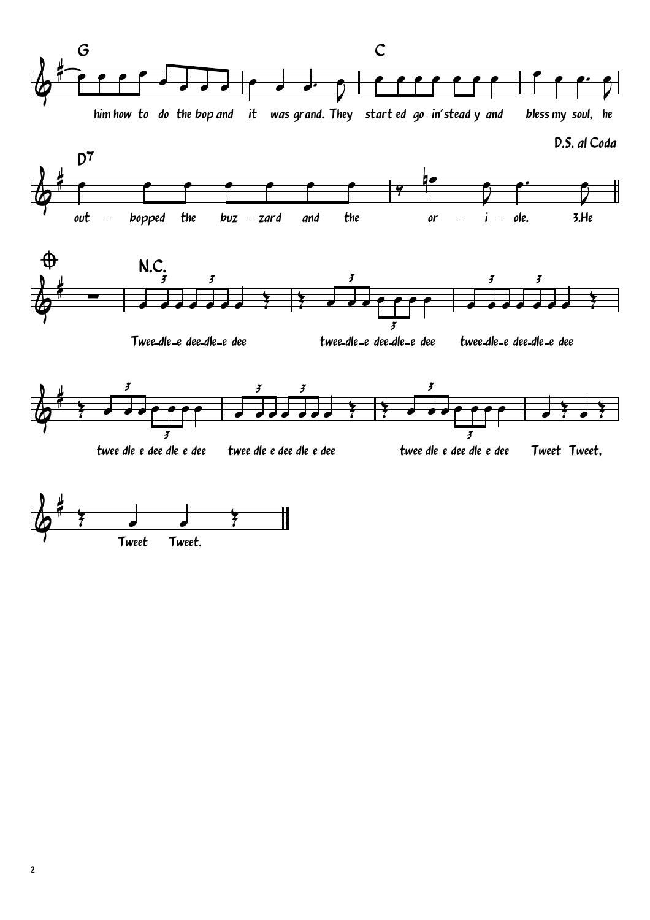



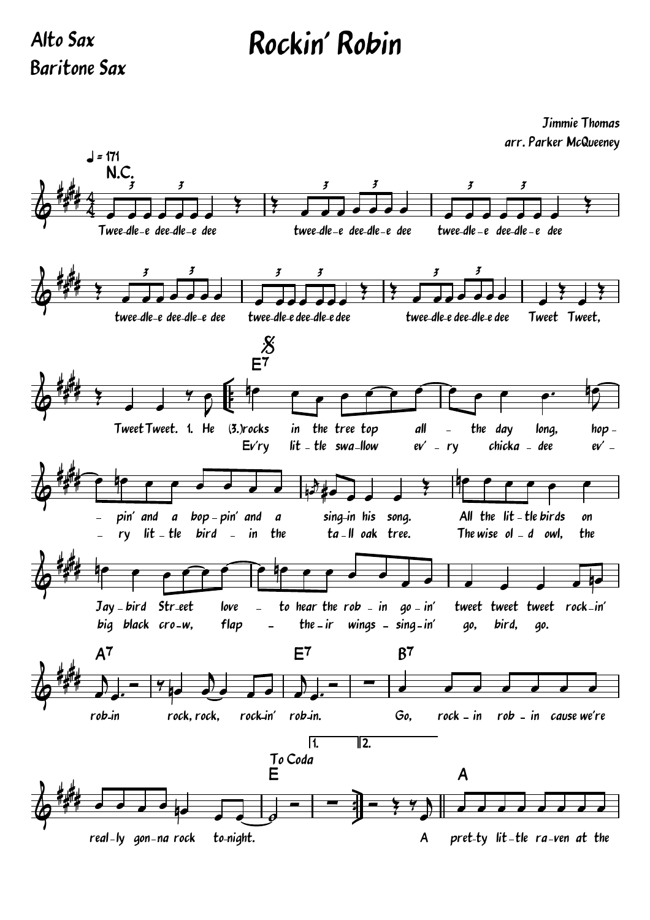Alto Sax Baritone Sax

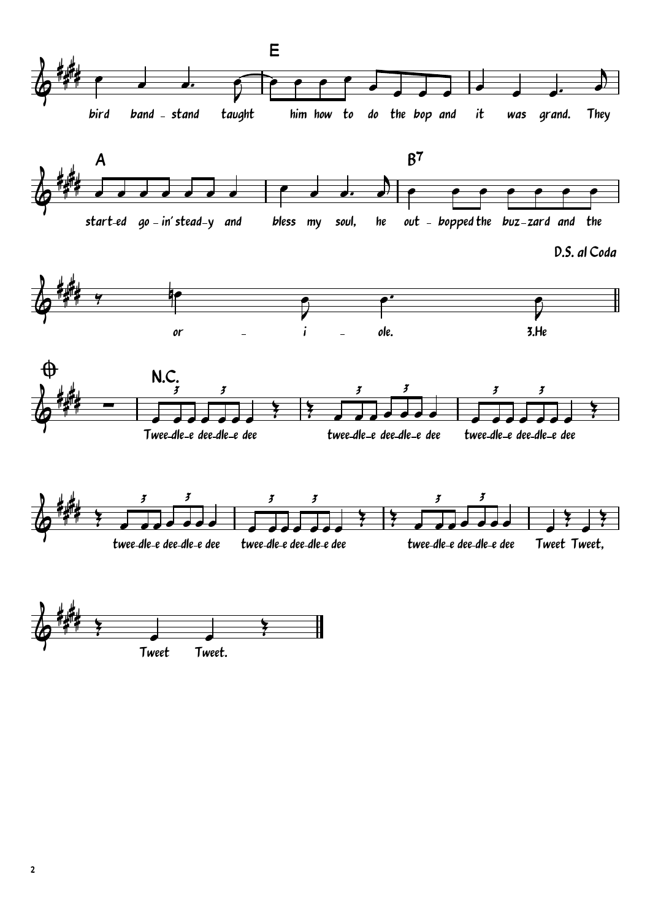

Tweet. Tweet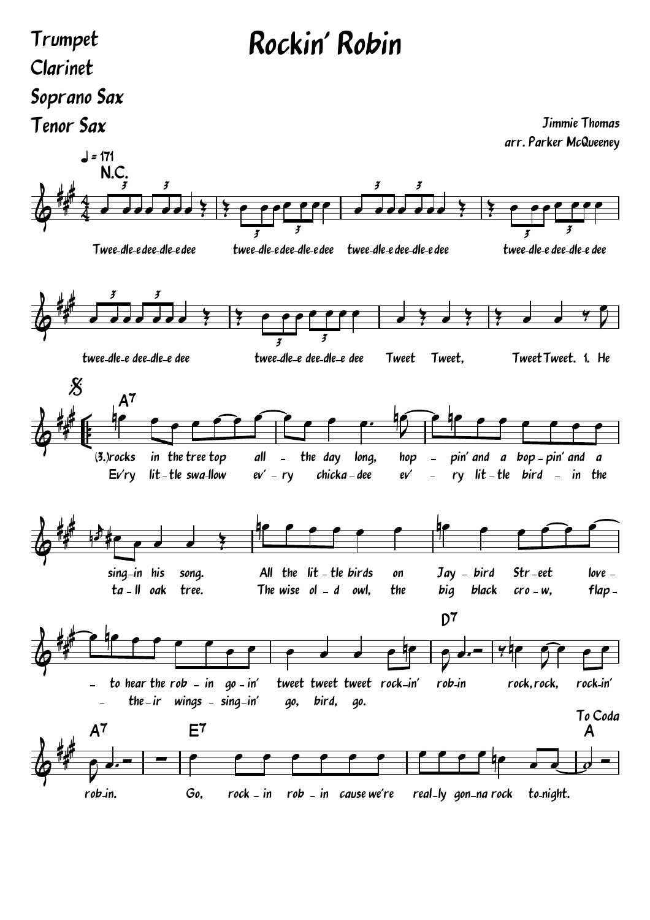#### Trumpet Clarinet Soprano Sax Tenor Sax

Jimmie Thomas arr. Parker McQueeney

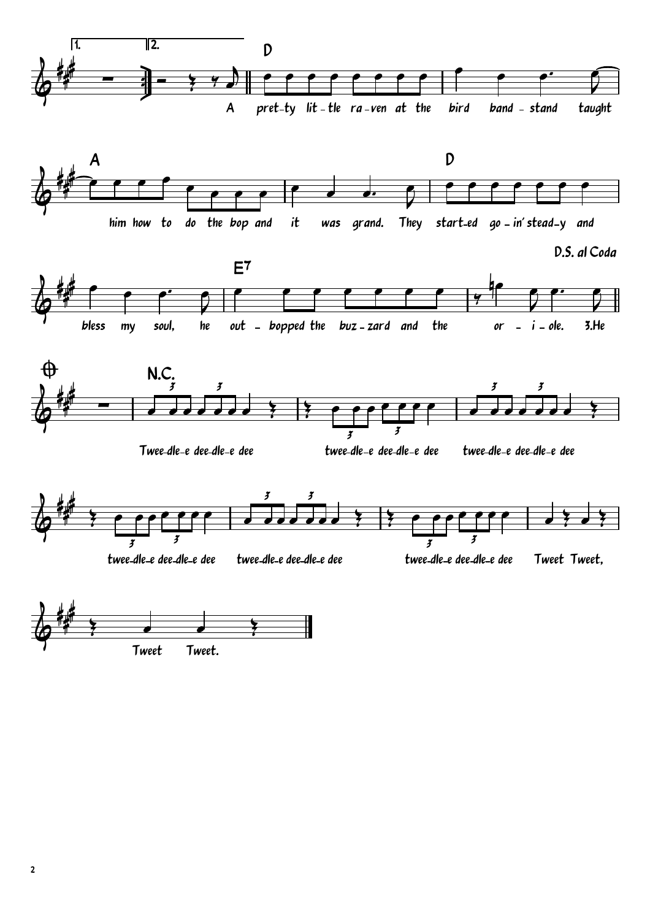



D.S. al Coda





Twee-dle-e dee-dle-e dee

twee-dle-e dee-dle-e c

e dee twee-dle-e dee-dle-e dee



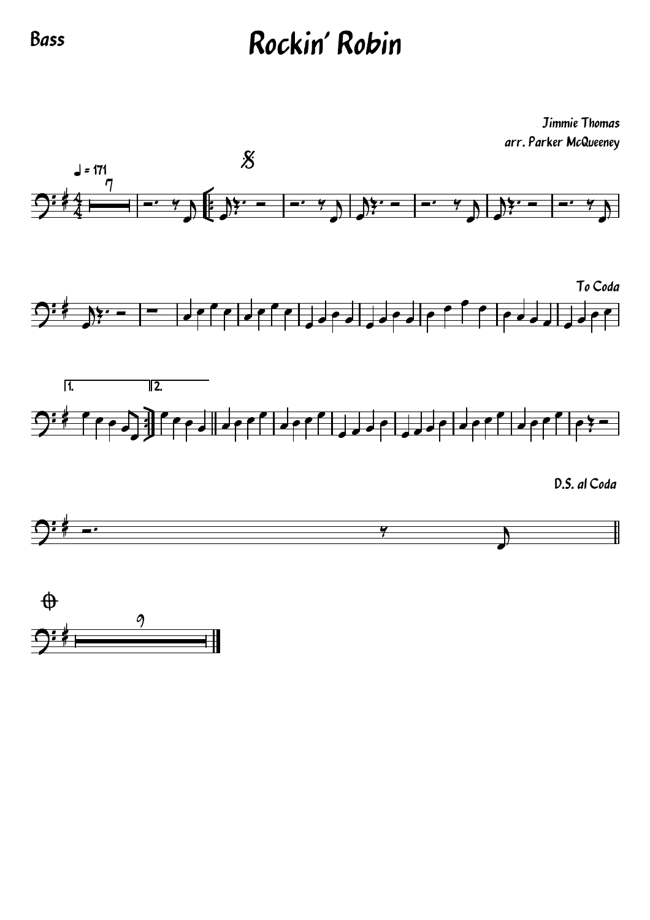